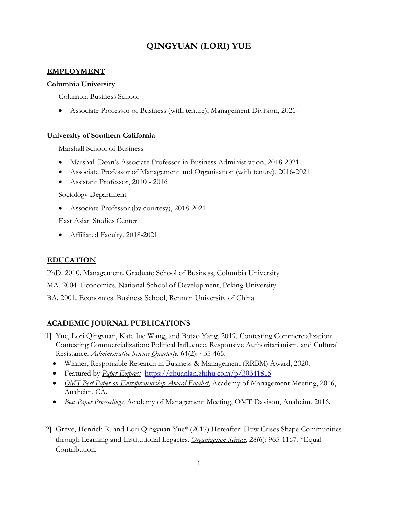# **QINGYUAN (LORI) YUE**

#### **EMPLOYMENT**

#### **Columbia University**

Columbia Business School

Associate Professor of Business (with tenure), Management Division, 2021-

#### **University of Southern California**

Marshall School of Business

- Marshall Dean's Associate Professor in Business Administration, 2018-2021
- Associate Professor of Management and Organization (with tenure), 2016-2021
- Assistant Professor, 2010 2016

Sociology Department

Associate Professor (by courtesy), 2018-2021

East Asian Studies Center

Affiliated Faculty, 2018-2021

#### **EDUCATION**

PhD. 2010. Management. Graduate School of Business, Columbia University

MA. 2004. Economics. National School of Development, Peking University

BA. 2001. Economics. Business School, Renmin University of China

#### **ACADEMIC JOURNAL PUBLICATIONS**

- [1] Yue, Lori Qingyuan, Kate Jue Wang, and Botao Yang. 2019. Contesting Commercialization: Contesting Commercialization: Political Influence, Responsive Authoritarianism, and Cultural Resistance. *Administrative Science Quarterly*, 64(2): 435-465.
	- Winner, Responsible Research in Business & Management (RRBM) Award, 2020.
	- Featured by *Paper Express* <https://zhuanlan.zhihu.com/p/30341815>
	- *OMT Best Paper on Entrepreneurship Award Finalist*, Academy of Management Meeting, 2016, Anaheim, CA.
	- *Best Paper Proceedings,* Academy of Management Meeting, OMT Davison, Anaheim, 2016.
- [2] Greve, Henrich R. and Lori Qingyuan Yue\* (2017) Hereafter: How Crises Shape Communities through Learning and Institutional Legacies. *Organization Science*, 28(6): 965-1167. \*Equal Contribution.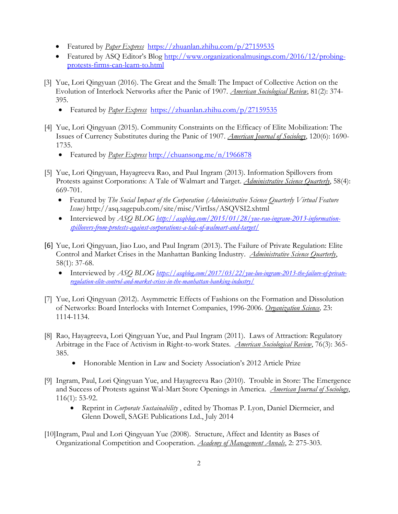- Featured by *Paper Express* <https://zhuanlan.zhihu.com/p/27159535>
- Featured by ASQ Editor's Blog [http://www.organizationalmusings.com/2016/12/probing](http://www.organizationalmusings.com/2016/12/probing-protests-firms-can-learn-to.html)[protests-firms-can-learn-to.html](http://www.organizationalmusings.com/2016/12/probing-protests-firms-can-learn-to.html)
- [3] Yue, Lori Qingyuan (2016). The Great and the Small: The Impact of Collective Action on the Evolution of Interlock Networks after the Panic of 1907. *American Sociological Review*, 81(2): 374- 395.
	- Featured by *Paper Express* <https://zhuanlan.zhihu.com/p/27159535>
- [4] Yue, Lori Qingyuan (2015). Community Constraints on the Efficacy of Elite Mobilization: The Issues of Currency Substitutes during the Panic of 1907. *American Journal of Sociology*, 120(6): 1690- 1735.
	- Featured by *Paper Express* <http://chuansong.me/n/1966878>
- [5] Yue, Lori Qingyuan, Hayagreeva Rao, and Paul Ingram (2013). Information Spillovers from Protests against Corporations: A Tale of Walmart and Target. *Administrative Science Quarterly*, 58(4): 669-701.
	- Featured by *The Social Impact of the Corporation (Administrative Science Quarterly Virtual Feature Issue)* http://asq.sagepub.com/site/misc/VirtIss/ASQVSI2.xhtml
	- Interviewed by *ASQ BLOG [http://asqblog.com/2015/01/28/yue-rao-ingram-2013-information](http://asqblog.com/2015/01/28/yue-rao-ingram-2013-information-spillovers-from-protests-against-corporations-a-tale-of-walmart-and-target/)[spillovers-from-protests-against-corporations-a-tale-of-walmart-and-target/](http://asqblog.com/2015/01/28/yue-rao-ingram-2013-information-spillovers-from-protests-against-corporations-a-tale-of-walmart-and-target/)*
- [6] Yue, Lori Qingyuan, Jiao Luo, and Paul Ingram (2013). The Failure of Private Regulation: Elite Control and Market Crises in the Manhattan Banking Industry. *Administrative Science Quarterly*, 58(1): 37-68.
	- Interviewed by *ASQ BLOG [https://asqblog.com/2017/03/22/yue-luo-ingram-2013-the-failure-of-private](https://asqblog.com/2017/03/22/yue-luo-ingram-2013-the-failure-of-private-regulation-elite-control-and-market-crises-in-the-manhattan-banking-industry/)[regulation-elite-control-and-market-crises-in-the-manhattan-banking-industry/](https://asqblog.com/2017/03/22/yue-luo-ingram-2013-the-failure-of-private-regulation-elite-control-and-market-crises-in-the-manhattan-banking-industry/)*
- [7] Yue, Lori Qingyuan (2012). Asymmetric Effects of Fashions on the Formation and Dissolution of Networks: Board Interlocks with Internet Companies, 1996-2006. *Organization Science,* 23: 1114-1134.
- [8] Rao, Hayagreeva, Lori Qingyuan Yue, and Paul Ingram (2011). Laws of Attraction: Regulatory Arbitrage in the Face of Activism in Right-to-work States. *American Sociological Review*, 76(3): 365- 385.
	- Honorable Mention in Law and Society Association's 2012 Article Prize
- [9] Ingram, Paul, Lori Qingyuan Yue, and Hayagreeva Rao (2010). Trouble in Store: The Emergence and Success of Protests against Wal-Mart Store Openings in America. *American Journal of Sociology*, 116(1): 53-92.
	- Reprint in *Corporate Sustainability* , edited by Thomas P. Lyon, Daniel Diermeier, and Glenn Dowell, SAGE Publications Ltd., July 2014
- [10]Ingram, Paul and Lori Qingyuan Yue (2008). Structure, Affect and Identity as Bases of Organizational Competition and Cooperation. *Academy of Management Annals*, 2: 275-303.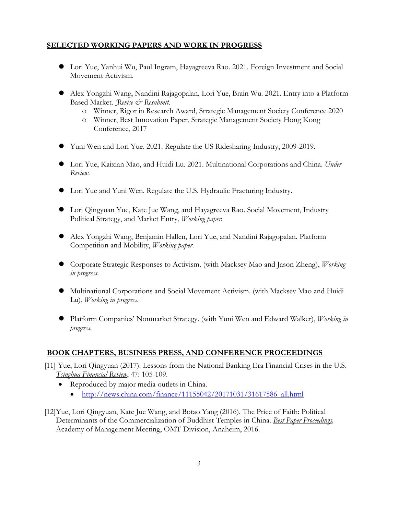### **SELECTED WORKING PAPERS AND WORK IN PROGRESS**

- Lori Yue, Yanhui Wu, Paul Ingram, Hayagreeva Rao. 2021. Foreign Investment and Social Movement Activism.
- Alex Yongzhi Wang, Nandini Rajagopalan, Lori Yue, Brain Wu. 2021. Entry into a Platform-Based Market. *'Revise & Resubmit*.
	- o Winner, Rigor in Research Award, Strategic Management Society Conference 2020
	- o Winner, Best Innovation Paper, Strategic Management Society Hong Kong Conference, 2017
- Yuni Wen and Lori Yue. 2021. Regulate the US Ridesharing Industry, 2009-2019.
- Lori Yue, Kaixian Mao, and Huidi Lu. 2021. Multinational Corporations and China. *Under Review*.
- Lori Yue and Yuni Wen. Regulate the U.S. Hydraulic Fracturing Industry.
- Lori Qingyuan Yue, Kate Jue Wang, and Hayagreeva Rao. Social Movement, Industry Political Strategy, and Market Entry, *Working paper.*
- Alex Yongzhi Wang, Benjamin Hallen, Lori Yue, and Nandini Rajagopalan. Platform Competition and Mobility, *Working paper*.
- Corporate Strategic Responses to Activism. (with Macksey Mao and Jason Zheng), *Working in progress*.
- Multinational Corporations and Social Movement Activism. (with Macksey Mao and Huidi Lu), *Working in progress*.
- Platform Companies' Nonmarket Strategy. (with Yuni Wen and Edward Walker), *Working in progress*.

### **BOOK CHAPTERS, BUSINESS PRESS, AND CONFERENCE PROCEEDINGS**

- [11] Yue, Lori Qingyuan (2017). Lessons from the National Banking Era Financial Crises in the U.S. *Tsinghua Financial Review*, 47: 105-109.
	- Reproduced by major media outlets in China.
		- $\bullet$  [http://news.china.com/finance/11155042/20171031/31617586\\_all.html](http://news.china.com/finance/11155042/20171031/31617586_all.html)
- [12]Yue, Lori Qingyuan, Kate Jue Wang, and Botao Yang (2016). The Price of Faith: Political Determinants of the Commercialization of Buddhist Temples in China. *Best Paper Proceedings,* Academy of Management Meeting, OMT Division, Anaheim, 2016.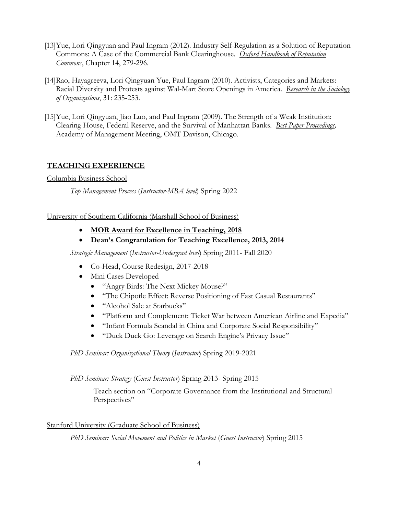- [13]Yue, Lori Qingyuan and Paul Ingram (2012). Industry Self-Regulation as a Solution of Reputation Commons: A Case of the Commercial Bank Clearinghouse. *Oxford Handbook of Reputation Commons*, Chapter 14, 279-296.
- [14]Rao, Hayagreeva, Lori Qingyuan Yue, Paul Ingram (2010). Activists, Categories and Markets: Racial Diversity and Protests against Wal-Mart Store Openings in America. *Research in the Sociology of Organizations*, 31: 235-253.
- [15]Yue, Lori Qingyuan, Jiao Luo, and Paul Ingram (2009). The Strength of a Weak Institution: Clearing House, Federal Reserve, and the Survival of Manhattan Banks. *Best Paper Proceedings,* Academy of Management Meeting, OMT Davison, Chicago.

### **TEACHING EXPERIENCE**

Columbia Business School

*Top Management Process* (*Instructor-MBA level*) Spring 2022

University of Southern California (Marshall School of Business)

- **MOR Award for Excellence in Teaching, 2018**
- **Dean's Congratulation for Teaching Excellence, 2013, 2014**

*Strategic Management* (*Instructor-Undergrad level*) Spring 2011- Fall 2020

- Co-Head, Course Redesign, 2017-2018
- Mini Cases Developed
	- "Angry Birds: The Next Mickey Mouse?"
	- "The Chipotle Effect: Reverse Positioning of Fast Casual Restaurants"
	- "Alcohol Sale at Starbucks"
	- "Platform and Complement: Ticket War between American Airline and Expedia"
	- "Infant Formula Scandal in China and Corporate Social Responsibility"
	- "Duck Duck Go: Leverage on Search Engine's Privacy Issue"

*PhD Seminar: Organizational Theory* (*Instructor*) Spring 2019-2021

*PhD Seminar: Strategy* (*Guest Instructor*) Spring 2013- Spring 2015

Teach section on "Corporate Governance from the Institutional and Structural Perspectives"

Stanford University (Graduate School of Business)

*PhD Seminar: Social Movement and Politics in Market* (*Guest Instructor*) Spring 2015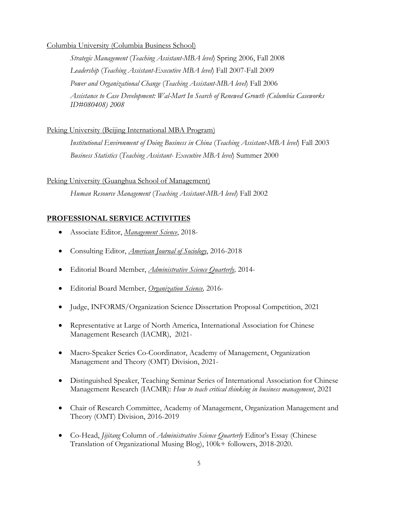#### Columbia University (Columbia Business School)

*Strategic Management* (*Teaching Assistant-MBA level*) Spring 2006, Fall 2008 *Leadership* (*Teaching Assistant-Executive MBA level*) Fall 2007-Fall 2009 *Power and Organizational Change* (*Teaching Assistant-MBA level*) Fall 2006 *Assistance to Case Development: Wal-Mart In Search of Renewed Growth (Columbia Caseworks ID#080408) 2008*

#### Peking University (Beijing International MBA Program)

*Institutional Environment of Doing Business in China* (*Teaching Assistant-MBA level*) Fall 2003 *Business Statistics* (*Teaching Assistant- Executive MBA level*) Summer 2000

#### Peking University (Guanghua School of Management)

*Human Resource Management* (*Teaching Assistant-MBA level*) Fall 2002

#### **PROFESSIONAL SERVICE ACTIVITIES**

- Associate Editor, *Management Science*, 2018-
- Consulting Editor, *American Journal of Sociology*, 2016-2018
- Editorial Board Member, *Administrative Science Quarterly,* 2014-
- Editorial Board Member, *Organization Science,* 2016-
- Judge, INFORMS/Organization Science Dissertation Proposal Competition, 2021
- Representative at Large of North America, International Association for Chinese Management Research (IACMR), 2021-
- Macro-Speaker Series Co-Coordinator, Academy of Management, Organization Management and Theory (OMT) Division, 2021-
- Distinguished Speaker, Teaching Seminar Series of International Association for Chinese Management Research (IACMR): *How to teach critical thinking in business management*, 2021
- Chair of Research Committee, Academy of Management, Organization Management and Theory (OMT) Division, 2016-2019
- Co-Head, *Jijitang* Column of *Administrative Science Quarterly* Editor's Essay (Chinese Translation of Organizational Musing Blog), 100k+ followers, 2018-2020.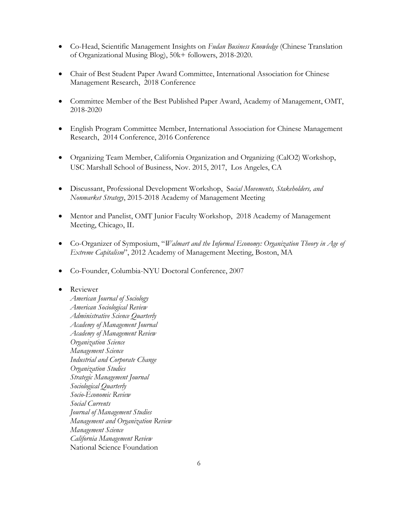- Co-Head, Scientific Management Insights on *Fudan Business Knowledge* (Chinese Translation of Organizational Musing Blog), 50k+ followers, 2018-2020.
- Chair of Best Student Paper Award Committee, International Association for Chinese Management Research, 2018 Conference
- Committee Member of the Best Published Paper Award, Academy of Management, OMT, 2018-2020
- English Program Committee Member, International Association for Chinese Management Research, 2014 Conference, 2016 Conference
- Organizing Team Member, California Organization and Organizing (CalO2) Workshop, USC Marshall School of Business, Nov. 2015, 2017, Los Angeles, CA
- Discussant, Professional Development Workshop, S*ocial Movements, Stakeholders, and Nonmarket Strategy*, 2015-2018 Academy of Management Meeting
- Mentor and Panelist, OMT Junior Faculty Workshop, 2018 Academy of Management Meeting, Chicago, IL
- Co-Organizer of Symposium, "*Walmart and the Informal Economy: Organization Theory in Age of Extreme Capitalism*", 2012 Academy of Management Meeting, Boston, MA
- Co-Founder, Columbia-NYU Doctoral Conference, 2007

#### • Reviewer

*American Journal of Sociology American Sociological Review Administrative Science Quarterly Academy of Management Journal Academy of Management Review Organization Science Management Science Industrial and Corporate Change Organization Studies Strategic Management Journal Sociological Quarterly Socio-Economic Review Social Currents Journal of Management Studies Management and Organization Review Management Science California Management Review* National Science Foundation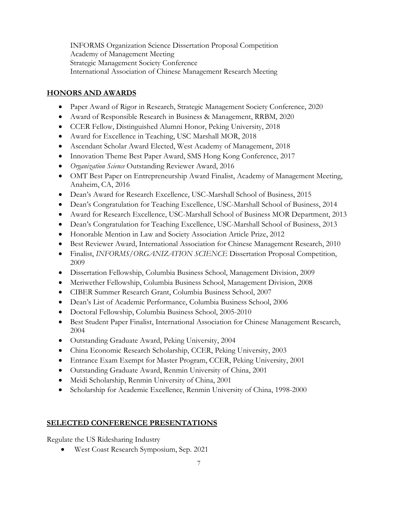INFORMS Organization Science Dissertation Proposal Competition Academy of Management Meeting Strategic Management Society Conference International Association of Chinese Management Research Meeting

### **HONORS AND AWARDS**

- Paper Award of Rigor in Research, Strategic Management Society Conference, 2020
- Award of Responsible Research in Business & Management, RRBM, 2020
- CCER Fellow, Distinguished Alumni Honor, Peking University, 2018
- Award for Excellence in Teaching, USC Marshall MOR, 2018
- Ascendant Scholar Award Elected, West Academy of Management, 2018
- Innovation Theme Best Paper Award, SMS Hong Kong Conference, 2017
- *Organization Science* Outstanding Reviewer Award, 2016
- OMT Best Paper on Entrepreneurship Award Finalist, Academy of Management Meeting, Anaheim, CA, 2016
- Dean's Award for Research Excellence, USC-Marshall School of Business, 2015
- Dean's Congratulation for Teaching Excellence, USC-Marshall School of Business, 2014
- Award for Research Excellence, USC-Marshall School of Business MOR Department, 2013
- Dean's Congratulation for Teaching Excellence, USC-Marshall School of Business, 2013
- Honorable Mention in Law and Society Association Article Prize, 2012
- Best Reviewer Award, International Association for Chinese Management Research, 2010
- Finalist, *INFORMS/ORGANIZATION SCIENCE* Dissertation Proposal Competition, 2009
- Dissertation Fellowship, Columbia Business School, Management Division, 2009
- Meriwether Fellowship, Columbia Business School, Management Division, 2008
- CIBER Summer Research Grant, Columbia Business School, 2007
- Dean's List of Academic Performance, Columbia Business School, 2006
- Doctoral Fellowship, Columbia Business School, 2005-2010
- Best Student Paper Finalist, International Association for Chinese Management Research, 2004
- Outstanding Graduate Award, Peking University, 2004
- China Economic Research Scholarship, CCER, Peking University, 2003
- Entrance Exam Exempt for Master Program, CCER, Peking University, 2001
- Outstanding Graduate Award, Renmin University of China, 2001
- Meidi Scholarship, Renmin University of China, 2001
- Scholarship for Academic Excellence, Renmin University of China, 1998-2000

### **SELECTED CONFERENCE PRESENTATIONS**

Regulate the US Ridesharing Industry

West Coast Research Symposium, Sep. 2021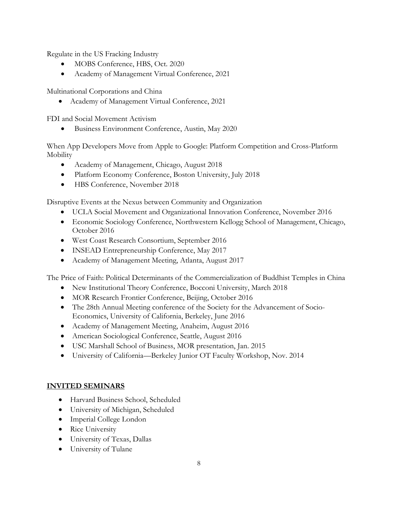Regulate in the US Fracking Industry

- MOBS Conference, HBS, Oct. 2020
- Academy of Management Virtual Conference, 2021

Multinational Corporations and China

Academy of Management Virtual Conference, 2021

FDI and Social Movement Activism

Business Environment Conference, Austin, May 2020

When App Developers Move from Apple to Google: Platform Competition and Cross-Platform Mobility

- Academy of Management, Chicago, August 2018
- Platform Economy Conference, Boston University, July 2018
- HBS Conference, November 2018

Disruptive Events at the Nexus between Community and Organization

- UCLA Social Movement and Organizational Innovation Conference, November 2016
- Economic Sociology Conference, Northwestern Kellogg School of Management, Chicago, October 2016
- West Coast Research Consortium, September 2016
- INSEAD Entrepreneurship Conference, May 2017
- Academy of Management Meeting, Atlanta, August 2017

The Price of Faith: Political Determinants of the Commercialization of Buddhist Temples in China

- New Institutional Theory Conference, Bocconi University, March 2018
- MOR Research Frontier Conference, Beijing, October 2016
- The 28th Annual Meeting conference of the Society for the Advancement of Socio-Economics, University of California, Berkeley, June 2016
- Academy of Management Meeting, Anaheim, August 2016
- American Sociological Conference, Seattle, August 2016
- USC Marshall School of Business, MOR presentation, Jan. 2015
- University of California—Berkeley Junior OT Faculty Workshop, Nov. 2014

### **INVITED SEMINARS**

- Harvard Business School, Scheduled
- University of Michigan, Scheduled
- Imperial College London
- Rice University
- University of Texas, Dallas
- University of Tulane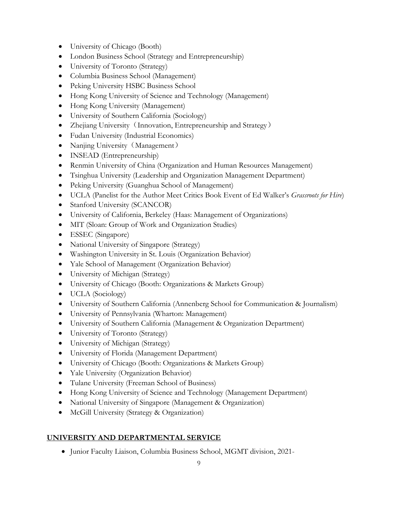- University of Chicago (Booth)
- London Business School (Strategy and Entrepreneurship)
- University of Toronto (Strategy)
- Columbia Business School (Management)
- Peking University HSBC Business School
- Hong Kong University of Science and Technology (Management)
- Hong Kong University (Management)
- University of Southern California (Sociology)
- Zhejiang University (Innovation, Entrepreneurship and Strategy)
- Fudan University (Industrial Economics)
- Nanjing University (Management)
- INSEAD (Entrepreneurship)
- Renmin University of China (Organization and Human Resources Management)
- Tsinghua University (Leadership and Organization Management Department)
- Peking University (Guanghua School of Management)
- UCLA (Panelist for the Author Meet Critics Book Event of Ed Walker's *Grassroots for Hire*)
- Stanford University (SCANCOR)
- University of California, Berkeley (Haas: Management of Organizations)
- MIT (Sloan: Group of Work and Organization Studies)
- ESSEC (Singapore)
- National University of Singapore (Strategy)
- Washington University in St. Louis (Organization Behavior)
- Yale School of Management (Organization Behavior)
- University of Michigan (Strategy)
- University of Chicago (Booth: Organizations & Markets Group)
- UCLA (Sociology)
- University of Southern California (Annenberg School for Communication & Journalism)
- University of Pennsylvania (Wharton: Management)
- University of Southern California (Management & Organization Department)
- University of Toronto (Strategy)
- University of Michigan (Strategy)
- University of Florida (Management Department)
- University of Chicago (Booth: Organizations & Markets Group)
- Yale University (Organization Behavior)
- Tulane University (Freeman School of Business)
- Hong Kong University of Science and Technology (Management Department)
- National University of Singapore (Management & Organization)
- McGill University (Strategy & Organization)

## **UNIVERSITY AND DEPARTMENTAL SERVICE**

Junior Faculty Liaison, Columbia Business School, MGMT division, 2021-